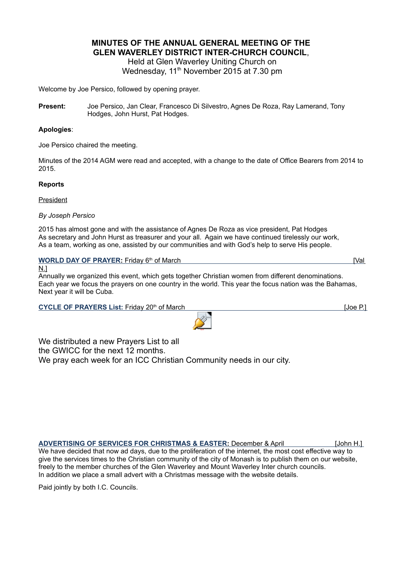# **MINUTES OF THE ANNUAL GENERAL MEETING OF THE GLEN WAVERLEY DISTRICT INTER-CHURCH COUNCIL**,

Held at Glen Waverley Uniting Church on Wednesday, 11<sup>th</sup> November 2015 at 7.30 pm

Welcome by Joe Persico, followed by opening prayer.

**Present:** Joe Persico, Jan Clear, Francesco Di Silvestro, Agnes De Roza, Ray Lamerand, Tony Hodges, John Hurst, Pat Hodges.

#### **Apologies**:

Joe Persico chaired the meeting.

Minutes of the 2014 AGM were read and accepted, with a change to the date of Office Bearers from 2014 to 2015.

#### **Reports**

President

N.]

*By Joseph Persico* 

2015 has almost gone and with the assistance of Agnes De Roza as vice president, Pat Hodges As secretary and John Hurst as treasurer and your all. Again we have continued tirelessly our work, As a team, working as one, assisted by our communities and with God's help to serve His people.

**WORLD DAY OF PRAYER:** Friday 6<sup>th</sup> of March **contract and the Contract of March [Val** 

Annually we organized this event, which gets together Christian women from different denominations. Each year we focus the prayers on one country in the world. This year the focus nation was the Bahamas, Next year it will be Cuba.

**CYCLE OF PRAYERS List:** Friday 20<sup>th</sup> of March **[Joe P.]** [Joe P.]



We distributed a new Prayers List to all the GWICC for the next 12 months. We pray each week for an ICC Christian Community needs in our city.

 **ADVERTISING OF SERVICES FOR CHRISTMAS & EASTER :** December & April[John H.]

We have decided that now ad days, due to the proliferation of the internet, the most cost effective way to give the services times to the Christian community of the city of Monash is to publish them on our website, freely to the member churches of the Glen Waverley and Mount Waverley Inter church councils. In addition we place a small advert with a Christmas message with the website details.

Paid jointly by both I.C. Councils.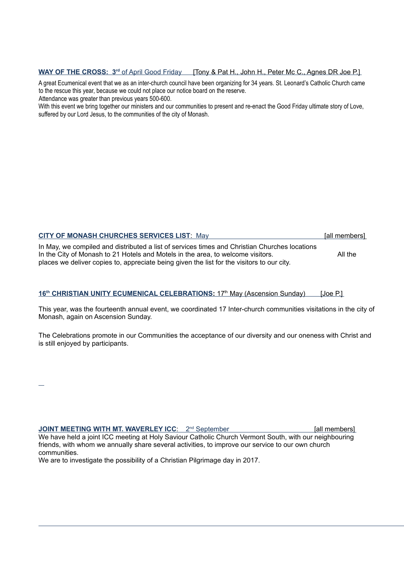### **WAY OF THE CROSS: 3<sup>rd</sup> of April Good Friday [Tony & Pat H., John H., Peter Mc C., Agnes DR Joe P.]**

A great Ecumenical event that we as an inter-church council have been organizing for 34 years. St. Leonard's Catholic Church came to the rescue this year, because we could not place our notice board on the reserve.

Attendance was greater than previous years 500-600.

With this event we bring together our ministers and our communities to present and re-enact the Good Friday ultimate story of Love, suffered by our Lord Jesus, to the communities of the city of Monash.

| <b>CITY OF MONASH CHURCHES SERVICES LIST: May</b>                                             | [all members] |
|-----------------------------------------------------------------------------------------------|---------------|
| In May, we compiled and distributed a list of services times and Christian Churches locations |               |
| In the City of Monash to 21 Hotels and Motels in the area, to welcome visitors.               | All the       |

places we deliver copies to, appreciate being given the list for the visitors to our city.

# 16<sup>th</sup> CHRISTIAN UNITY ECUMENICAL CELEBRATIONS: 17<sup>th</sup> May (Ascension Sunday) [Joe P.]

This year, was the fourteenth annual event, we coordinated 17 Inter-church communities visitations in the city of Monash, again on Ascension Sunday.

The Celebrations promote in our Communities the acceptance of our diversity and our oneness with Christ and is still enjoyed by participants.

**JOINT MEETING WITH MT. WAVERLEY ICC:**  $2^{nd}$  September [all members] We have held a joint ICC meeting at Holy Saviour Catholic Church Vermont South, with our neighbouring friends, with whom we annually share several activities, to improve our service to our own church communities.

We are to investigate the possibility of a Christian Pilgrimage day in 2017.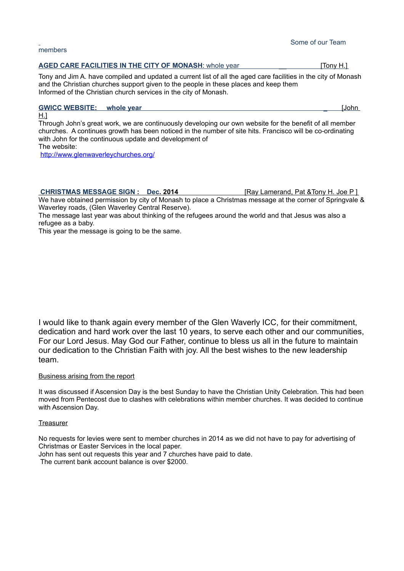# Some of our Team

### members

#### **AGED CARE FACILITIES IN THE CITY OF MONASH:** whole year **and the contract of the state of the state of the state of the state of the state of the state of the state of the state of the state of the state of the state of t**

Tony and Jim A. have compiled and updated a current list of all the aged care facilities in the city of Monash and the Christian churches support given to the people in these places and keep them Informed of the Christian church services in the city of Monash.

### **GWICC WEBSITE:** whole year **but the set of the set of the set of the set of the set of the set of the set of the set of the set of the set of the set of the set of the set of the set of the set of the set of the set of th**

H.] Through John's great work, we are continuously developing our own website for the benefit of all member churches. A continues growth has been noticed in the number of site hits. Francisco will be co-ordinating with John for the continuous update and development of The website:

<http://www.glenwaverleychurches.org/>

**CHRISTMAS MESSAGE SIGN : Dec . 2014** [Ray Lamerand, Pat &Tony H. Joe P ]

We have obtained permission by city of Monash to place a Christmas message at the corner of Springvale & Waverley roads, (Glen Waverley Central Reserve).

The message last year was about thinking of the refugees around the world and that Jesus was also a refugee as a baby.

This year the message is going to be the same.

I would like to thank again every member of the Glen Waverly ICC, for their commitment, dedication and hard work over the last 10 years, to serve each other and our communities, For our Lord Jesus. May God our Father, continue to bless us all in the future to maintain our dedication to the Christian Faith with joy. All the best wishes to the new leadership team.

# Business arising from the report

It was discussed if Ascension Day is the best Sunday to have the Christian Unity Celebration. This had been moved from Pentecost due to clashes with celebrations within member churches. It was decided to continue with Ascension Day.

#### **Treasurer**

No requests for levies were sent to member churches in 2014 as we did not have to pay for advertising of Christmas or Easter Services in the local paper. John has sent out requests this year and 7 churches have paid to date.

The current bank account balance is over \$2000.